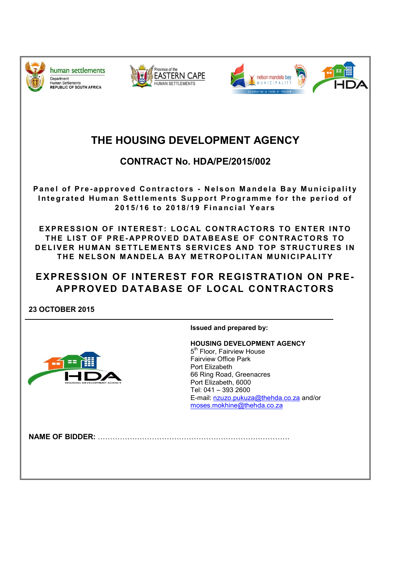

human settlements Department: **Jopannicht:**<br>Human Settlements<br>REPUBLIC OF SOUTH AFRICA





# THE HOUSING DEVELOPMENT AGENCY

# CONTRACT No. HDA/PE/2015/002

Panel of Pre-approved Contractors - Nelson Mandela Bay Municipality Integrated Human Settlements Support Programme for the period of 2015/16 to 2018/19 Financial Years

EXPRESSION OF INTEREST: LOCAL CONTRACTORS TO ENTER INTO THE LIST OF PRE-APPROVED DATABEASE OF CONTRACTORS TO DELIVER HUMAN SETTLEMENTS SERVICES AND TOP STRUCTURES IN THE NELSON MANDELA BAY METROPOLITAN MUNICIPALITY

# EXPRESSION OF INTEREST FOR REGISTRATION ON PRE-APPROVED DATABASE OF LOCAL CONTRACTORS

23 OCTOBER 2015



Issued and prepared by:

HOUSING DEVELOPMENT AGENCY 5<sup>th</sup> Floor, Fairview House Fairview Office Park Port Elizabeth 66 Ring Road, Greenacres Port Elizabeth, 6000 Tel: 041 – 393 2600 E-mail: nzuzo.pukuza@thehda.co.za and/or moses.mokhine@thehda.co.za

NAME OF BIDDER: ……………………………………………………………………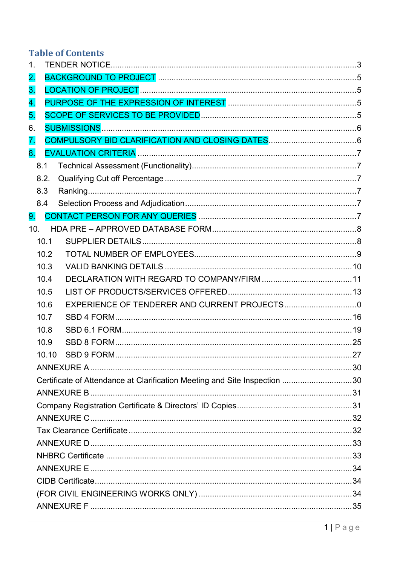# **Table of Contents**

| 1.                                                                        |  |
|---------------------------------------------------------------------------|--|
| 2.                                                                        |  |
| 3.                                                                        |  |
| 4.                                                                        |  |
| 5.                                                                        |  |
| 6.                                                                        |  |
| 7.                                                                        |  |
| 8 <sub>1</sub>                                                            |  |
| 8.1                                                                       |  |
| 8.2.                                                                      |  |
| 8.3                                                                       |  |
| 8.4                                                                       |  |
| 9.                                                                        |  |
| 10.                                                                       |  |
| 10.1                                                                      |  |
| 10.2                                                                      |  |
| 10.3                                                                      |  |
| 10.4                                                                      |  |
| 10.5                                                                      |  |
| 10.6                                                                      |  |
| 10.7                                                                      |  |
| 10.8                                                                      |  |
| 10.9                                                                      |  |
| 10.10                                                                     |  |
|                                                                           |  |
| Certificate of Attendance at Clarification Meeting and Site Inspection 30 |  |
|                                                                           |  |
|                                                                           |  |
|                                                                           |  |
|                                                                           |  |
|                                                                           |  |
|                                                                           |  |
|                                                                           |  |
|                                                                           |  |
|                                                                           |  |
|                                                                           |  |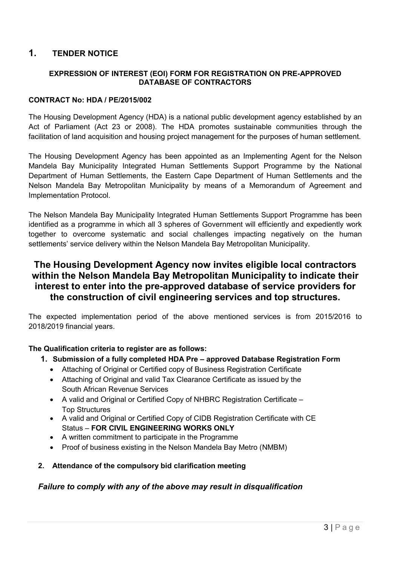# 1. TENDER NOTICE

### EXPRESSION OF INTEREST (EOI) FORM FOR REGISTRATION ON PRE-APPROVED DATABASE OF CONTRACTORS

#### CONTRACT No: HDA / PE/2015/002

The Housing Development Agency (HDA) is a national public development agency established by an Act of Parliament (Act 23 or 2008). The HDA promotes sustainable communities through the facilitation of land acquisition and housing project management for the purposes of human settlement.

The Housing Development Agency has been appointed as an Implementing Agent for the Nelson Mandela Bay Municipality Integrated Human Settlements Support Programme by the National Department of Human Settlements, the Eastern Cape Department of Human Settlements and the Nelson Mandela Bay Metropolitan Municipality by means of a Memorandum of Agreement and Implementation Protocol.

The Nelson Mandela Bay Municipality Integrated Human Settlements Support Programme has been identified as a programme in which all 3 spheres of Government will efficiently and expediently work together to overcome systematic and social challenges impacting negatively on the human settlements' service delivery within the Nelson Mandela Bay Metropolitan Municipality.

# The Housing Development Agency now invites eligible local contractors within the Nelson Mandela Bay Metropolitan Municipality to indicate their interest to enter into the pre-approved database of service providers for the construction of civil engineering services and top structures.

The expected implementation period of the above mentioned services is from 2015/2016 to 2018/2019 financial years.

#### The Qualification criteria to register are as follows:

- 1. Submission of a fully completed HDA Pre approved Database Registration Form
	- Attaching of Original or Certified copy of Business Registration Certificate
	- Attaching of Original and valid Tax Clearance Certificate as issued by the South African Revenue Services
	- A valid and Original or Certified Copy of NHBRC Registration Certificate Top Structures
	- A valid and Original or Certified Copy of CIDB Registration Certificate with CE Status – FOR CIVIL ENGINEERING WORKS ONLY
	- A written commitment to participate in the Programme
	- Proof of business existing in the Nelson Mandela Bay Metro (NMBM)
- 2. Attendance of the compulsory bid clarification meeting

### *Failure to comply with any of the above may result in disqualification*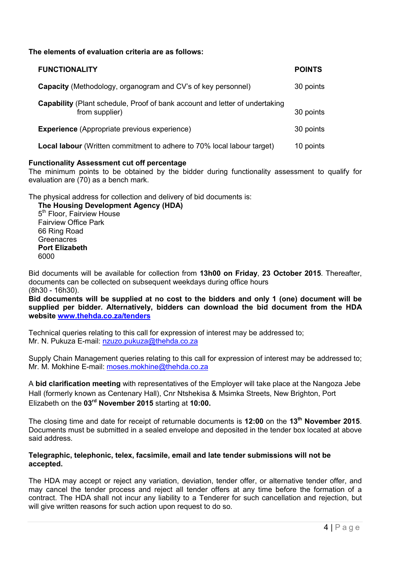The elements of evaluation criteria are as follows:

| <b>FUNCTIONALITY</b>                                                                          | <b>POINTS</b> |
|-----------------------------------------------------------------------------------------------|---------------|
| <b>Capacity</b> (Methodology, organogram and CV's of key personnel)                           | 30 points     |
| Capability (Plant schedule, Proof of bank account and letter of undertaking<br>from supplier) | 30 points     |
| <b>Experience</b> (Appropriate previous experience)                                           | 30 points     |
| Local labour (Written commitment to adhere to 70% local labour target)                        | 10 points     |

#### Functionality Assessment cut off percentage

The minimum points to be obtained by the bidder during functionality assessment to qualify for evaluation are (70) as a bench mark.

The physical address for collection and delivery of bid documents is:

The Housing Development Agency (HDA) 5<sup>th</sup> Floor, Fairview House Fairview Office Park 66 Ring Road **Greenacres** Port Elizabeth 6000

Bid documents will be available for collection from 13h00 on Friday, 23 October 2015. Thereafter, documents can be collected on subsequent weekdays during office hours (8h30 - 16h30).

Bid documents will be supplied at no cost to the bidders and only 1 (one) document will be supplied per bidder. Alternatively, bidders can download the bid document from the HDA website www.thehda.co.za/tenders

Technical queries relating to this call for expression of interest may be addressed to; Mr. N. Pukuza E-mail: nzuzo.pukuza@thehda.co.za

Supply Chain Management queries relating to this call for expression of interest may be addressed to; Mr. M. Mokhine E-mail: moses.mokhine@thehda.co.za

A bid clarification meeting with representatives of the Employer will take place at the Nangoza Jebe Hall (formerly known as Centenary Hall), Cnr Ntshekisa & Msimka Streets, New Brighton, Port Elizabeth on the 03<sup>rd</sup> November 2015 starting at 10:00.

The closing time and date for receipt of returnable documents is  $12:00$  on the  $13<sup>th</sup>$  November 2015. Documents must be submitted in a sealed envelope and deposited in the tender box located at above said address.

#### Telegraphic, telephonic, telex, facsimile, email and late tender submissions will not be accepted.

The HDA may accept or reject any variation, deviation, tender offer, or alternative tender offer, and may cancel the tender process and reject all tender offers at any time before the formation of a contract. The HDA shall not incur any liability to a Tenderer for such cancellation and rejection, but will give written reasons for such action upon request to do so.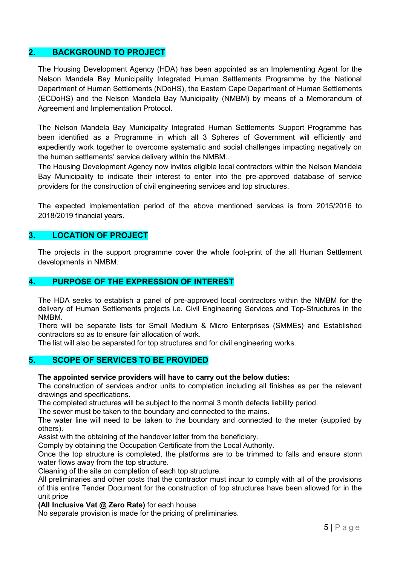### 2. BACKGROUND TO PROJECT

The Housing Development Agency (HDA) has been appointed as an Implementing Agent for the Nelson Mandela Bay Municipality Integrated Human Settlements Programme by the National Department of Human Settlements (NDoHS), the Eastern Cape Department of Human Settlements (ECDoHS) and the Nelson Mandela Bay Municipality (NMBM) by means of a Memorandum of Agreement and Implementation Protocol.

The Nelson Mandela Bay Municipality Integrated Human Settlements Support Programme has been identified as a Programme in which all 3 Spheres of Government will efficiently and expediently work together to overcome systematic and social challenges impacting negatively on the human settlements' service delivery within the NMBM..

The Housing Development Agency now invites eligible local contractors within the Nelson Mandela Bay Municipality to indicate their interest to enter into the pre-approved database of service providers for the construction of civil engineering services and top structures.

The expected implementation period of the above mentioned services is from 2015/2016 to 2018/2019 financial years.

### 3. LOCATION OF PROJECT

The projects in the support programme cover the whole foot-print of the all Human Settlement developments in NMBM.

### 4. PURPOSE OF THE EXPRESSION OF INTEREST

The HDA seeks to establish a panel of pre-approved local contractors within the NMBM for the delivery of Human Settlements projects i.e. Civil Engineering Services and Top-Structures in the NMBM.

There will be separate lists for Small Medium & Micro Enterprises (SMMEs) and Established contractors so as to ensure fair allocation of work.

The list will also be separated for top structures and for civil engineering works.

#### 5. SCOPE OF SERVICES TO BE PROVIDED

#### The appointed service providers will have to carry out the below duties:

The construction of services and/or units to completion including all finishes as per the relevant drawings and specifications.

The completed structures will be subject to the normal 3 month defects liability period.

The sewer must be taken to the boundary and connected to the mains.

The water line will need to be taken to the boundary and connected to the meter (supplied by others).

Assist with the obtaining of the handover letter from the beneficiary.

Comply by obtaining the Occupation Certificate from the Local Authority.

Once the top structure is completed, the platforms are to be trimmed to falls and ensure storm water flows away from the top structure.

Cleaning of the site on completion of each top structure.

All preliminaries and other costs that the contractor must incur to comply with all of the provisions of this entire Tender Document for the construction of top structures have been allowed for in the unit price

(All Inclusive Vat @ Zero Rate) for each house.

No separate provision is made for the pricing of preliminaries.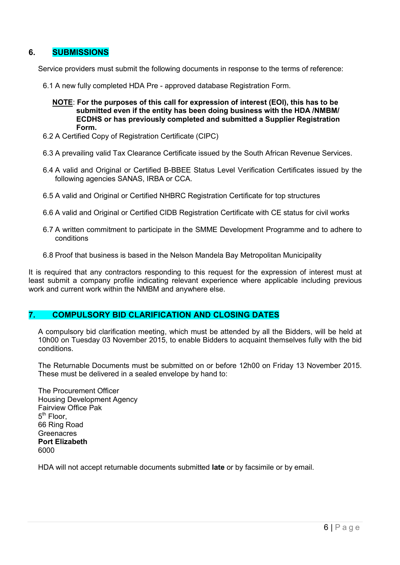### 6. SUBMISSIONS

Service providers must submit the following documents in response to the terms of reference:

- 6.1 A new fully completed HDA Pre approved database Registration Form.
	- NOTE: For the purposes of this call for expression of interest (EOI), this has to be submitted even if the entity has been doing business with the HDA /NMBM/ ECDHS or has previously completed and submitted a Supplier Registration Form.
- 6.2 A Certified Copy of Registration Certificate (CIPC)
- 6.3 A prevailing valid Tax Clearance Certificate issued by the South African Revenue Services.
- 6.4 A valid and Original or Certified B-BBEE Status Level Verification Certificates issued by the following agencies SANAS, IRBA or CCA.
- 6.5 A valid and Original or Certified NHBRC Registration Certificate for top structures
- 6.6 A valid and Original or Certified CIDB Registration Certificate with CE status for civil works
- 6.7 A written commitment to participate in the SMME Development Programme and to adhere to conditions
- 6.8 Proof that business is based in the Nelson Mandela Bay Metropolitan Municipality

It is required that any contractors responding to this request for the expression of interest must at least submit a company profile indicating relevant experience where applicable including previous work and current work within the NMBM and anywhere else.

### 7. COMPULSORY BID CLARIFICATION AND CLOSING DATES

A compulsory bid clarification meeting, which must be attended by all the Bidders, will be held at 10h00 on Tuesday 03 November 2015, to enable Bidders to acquaint themselves fully with the bid conditions.

The Returnable Documents must be submitted on or before 12h00 on Friday 13 November 2015. These must be delivered in a sealed envelope by hand to:

The Procurement Officer Housing Development Agency Fairview Office Pak  $5<sup>th</sup>$  Floor. 66 Ring Road **Greenacres** Port Elizabeth 6000

HDA will not accept returnable documents submitted late or by facsimile or by email.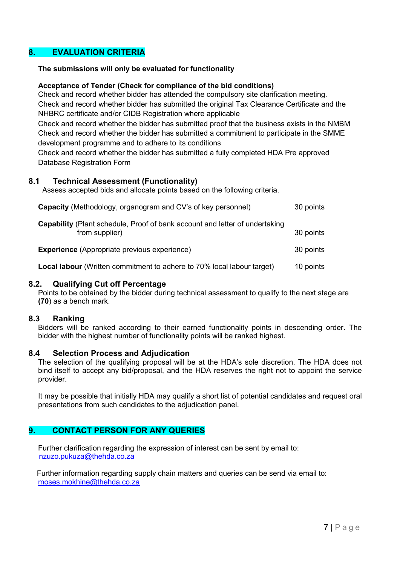### 8. EVALUATION CRITERIA

#### The submissions will only be evaluated for functionality

#### Acceptance of Tender (Check for compliance of the bid conditions)

Check and record whether bidder has attended the compulsory site clarification meeting. Check and record whether bidder has submitted the original Tax Clearance Certificate and the NHBRC certificate and/or CIDB Registration where applicable

Check and record whether the bidder has submitted proof that the business exists in the NMBM Check and record whether the bidder has submitted a commitment to participate in the SMME development programme and to adhere to its conditions

Check and record whether the bidder has submitted a fully completed HDA Pre approved Database Registration Form

#### 8.1 Technical Assessment (Functionality)

Assess accepted bids and allocate points based on the following criteria.

| <b>Capacity</b> (Methodology, organogram and CV's of key personnel)                                  | 30 points |
|------------------------------------------------------------------------------------------------------|-----------|
| <b>Capability</b> (Plant schedule, Proof of bank account and letter of undertaking<br>from supplier) | 30 points |
| <b>Experience</b> (Appropriate previous experience)                                                  | 30 points |
| Local labour (Written commitment to adhere to 70% local labour target)                               | 10 points |

#### 8.2. Qualifying Cut off Percentage

Points to be obtained by the bidder during technical assessment to qualify to the next stage are (70) as a bench mark.

#### 8.3 Ranking

Bidders will be ranked according to their earned functionality points in descending order. The bidder with the highest number of functionality points will be ranked highest.

#### 8.4 Selection Process and Adjudication

The selection of the qualifying proposal will be at the HDA's sole discretion. The HDA does not bind itself to accept any bid/proposal, and the HDA reserves the right not to appoint the service provider.

It may be possible that initially HDA may qualify a short list of potential candidates and request oral presentations from such candidates to the adjudication panel.

### 9. CONTACT PERSON FOR ANY QUERIES

Further clarification regarding the expression of interest can be sent by email to: nzuzo.pukuza@thehda.co.za

 Further information regarding supply chain matters and queries can be send via email to: moses.mokhine@thehda.co.za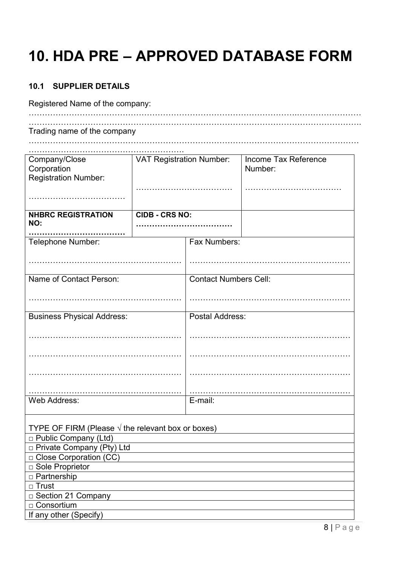# 10. HDA PRE – APPROVED DATABASE FORM

# 10.1 SUPPLIER DETAILS

Registered Name of the company:

| Trading name of the company |  |  |
|-----------------------------|--|--|

……………………………………………………………………………………………………………

| Company/Close                                              | <b>VAT Registration Number:</b> |                              | Income Tax Reference |
|------------------------------------------------------------|---------------------------------|------------------------------|----------------------|
| Corporation                                                |                                 |                              | Number:              |
| <b>Registration Number:</b>                                |                                 |                              |                      |
|                                                            |                                 |                              |                      |
|                                                            |                                 |                              |                      |
|                                                            |                                 |                              |                      |
| <b>NHBRC REGISTRATION</b>                                  | <b>CIDB - CRS NO:</b>           |                              |                      |
| NO:                                                        |                                 |                              |                      |
|                                                            |                                 |                              |                      |
| Telephone Number:                                          |                                 | Fax Numbers:                 |                      |
|                                                            |                                 |                              |                      |
|                                                            |                                 |                              |                      |
|                                                            |                                 |                              |                      |
| Name of Contact Person:                                    |                                 | <b>Contact Numbers Cell:</b> |                      |
|                                                            |                                 |                              |                      |
|                                                            |                                 |                              |                      |
|                                                            |                                 |                              |                      |
| <b>Business Physical Address:</b>                          |                                 | Postal Address:              |                      |
|                                                            |                                 |                              |                      |
|                                                            |                                 |                              |                      |
|                                                            |                                 |                              |                      |
|                                                            |                                 |                              |                      |
|                                                            |                                 |                              |                      |
|                                                            |                                 |                              |                      |
|                                                            |                                 |                              |                      |
|                                                            |                                 |                              |                      |
| Web Address:                                               |                                 | E-mail:                      |                      |
|                                                            |                                 |                              |                      |
|                                                            |                                 |                              |                      |
| TYPE OF FIRM (Please $\sqrt{ }$ the relevant box or boxes) |                                 |                              |                      |
| □ Public Company (Ltd)                                     |                                 |                              |                      |
| □ Private Company (Pty) Ltd                                |                                 |                              |                      |
| □ Close Corporation (CC)                                   |                                 |                              |                      |
| □ Sole Proprietor                                          |                                 |                              |                      |
| □ Partnership                                              |                                 |                              |                      |
| □ Trust                                                    |                                 |                              |                      |
| □ Section 21 Company                                       |                                 |                              |                      |
| □ Consortium                                               |                                 |                              |                      |
| If any other (Specify)                                     |                                 |                              |                      |
|                                                            |                                 |                              |                      |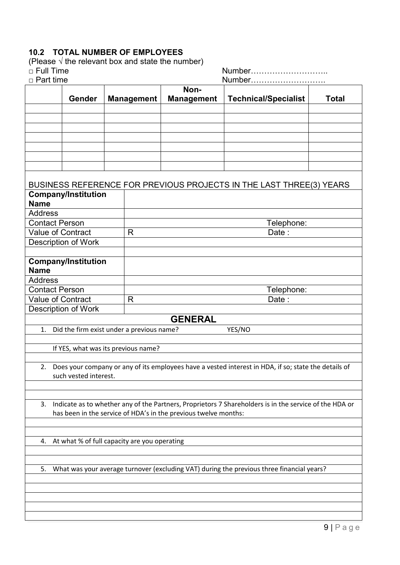# 10.2 TOTAL NUMBER OF EMPLOYEES

(Please  $\sqrt{ }$  the relevant box and state the number)

| $\Box$ Full Time                                                                                                                                                                | Number                                    |                   |                |                   |                                                                                                         |              |
|---------------------------------------------------------------------------------------------------------------------------------------------------------------------------------|-------------------------------------------|-------------------|----------------|-------------------|---------------------------------------------------------------------------------------------------------|--------------|
| $\Box$ Part time                                                                                                                                                                |                                           |                   | Number<br>Non- |                   |                                                                                                         |              |
|                                                                                                                                                                                 | Gender                                    | <b>Management</b> |                | <b>Management</b> | <b>Technical/Specialist</b>                                                                             | <b>Total</b> |
|                                                                                                                                                                                 |                                           |                   |                |                   |                                                                                                         |              |
|                                                                                                                                                                                 |                                           |                   |                |                   |                                                                                                         |              |
|                                                                                                                                                                                 |                                           |                   |                |                   |                                                                                                         |              |
|                                                                                                                                                                                 |                                           |                   |                |                   |                                                                                                         |              |
|                                                                                                                                                                                 |                                           |                   |                |                   |                                                                                                         |              |
|                                                                                                                                                                                 |                                           |                   |                |                   |                                                                                                         |              |
|                                                                                                                                                                                 |                                           |                   |                |                   |                                                                                                         |              |
|                                                                                                                                                                                 |                                           |                   |                |                   | BUSINESS REFERENCE FOR PREVIOUS PROJECTS IN THE LAST THREE(3) YEARS                                     |              |
|                                                                                                                                                                                 | <b>Company/Institution</b>                |                   |                |                   |                                                                                                         |              |
| <b>Name</b>                                                                                                                                                                     |                                           |                   |                |                   |                                                                                                         |              |
| <b>Address</b>                                                                                                                                                                  |                                           |                   |                |                   |                                                                                                         |              |
| <b>Contact Person</b>                                                                                                                                                           |                                           |                   |                |                   | Telephone:                                                                                              |              |
| Value of Contract                                                                                                                                                               |                                           |                   | R              |                   | Date:                                                                                                   |              |
|                                                                                                                                                                                 | <b>Description of Work</b>                |                   |                |                   |                                                                                                         |              |
|                                                                                                                                                                                 | <b>Company/Institution</b>                |                   |                |                   |                                                                                                         |              |
| <b>Name</b>                                                                                                                                                                     |                                           |                   |                |                   |                                                                                                         |              |
| <b>Address</b>                                                                                                                                                                  |                                           |                   |                |                   |                                                                                                         |              |
| <b>Contact Person</b>                                                                                                                                                           |                                           |                   |                |                   | Telephone:                                                                                              |              |
| Value of Contract                                                                                                                                                               |                                           |                   | R<br>Date:     |                   |                                                                                                         |              |
|                                                                                                                                                                                 | <b>Description of Work</b>                |                   |                | <b>GENERAL</b>    |                                                                                                         |              |
| 1.                                                                                                                                                                              | Did the firm exist under a previous name? |                   |                |                   | YES/NO                                                                                                  |              |
|                                                                                                                                                                                 |                                           |                   |                |                   |                                                                                                         |              |
|                                                                                                                                                                                 | If YES, what was its previous name?       |                   |                |                   |                                                                                                         |              |
|                                                                                                                                                                                 |                                           |                   |                |                   |                                                                                                         |              |
|                                                                                                                                                                                 |                                           |                   |                |                   | 2. Does your company or any of its employees have a vested interest in HDA, if so; state the details of |              |
|                                                                                                                                                                                 | such vested interest.                     |                   |                |                   |                                                                                                         |              |
|                                                                                                                                                                                 |                                           |                   |                |                   |                                                                                                         |              |
|                                                                                                                                                                                 |                                           |                   |                |                   |                                                                                                         |              |
| Indicate as to whether any of the Partners, Proprietors 7 Shareholders is in the service of the HDA or<br>3.<br>has been in the service of HDA's in the previous twelve months: |                                           |                   |                |                   |                                                                                                         |              |
|                                                                                                                                                                                 |                                           |                   |                |                   |                                                                                                         |              |
|                                                                                                                                                                                 |                                           |                   |                |                   |                                                                                                         |              |
| At what % of full capacity are you operating<br>4.                                                                                                                              |                                           |                   |                |                   |                                                                                                         |              |
|                                                                                                                                                                                 |                                           |                   |                |                   |                                                                                                         |              |
|                                                                                                                                                                                 |                                           |                   |                |                   |                                                                                                         |              |
| 5.                                                                                                                                                                              |                                           |                   |                |                   | What was your average turnover (excluding VAT) during the previous three financial years?               |              |
|                                                                                                                                                                                 |                                           |                   |                |                   |                                                                                                         |              |
|                                                                                                                                                                                 |                                           |                   |                |                   |                                                                                                         |              |
|                                                                                                                                                                                 |                                           |                   |                |                   |                                                                                                         |              |
|                                                                                                                                                                                 |                                           |                   |                |                   |                                                                                                         |              |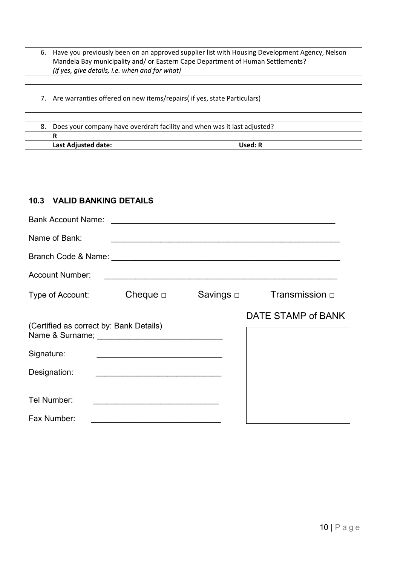| 6. | Have you previously been on an approved supplier list with Housing Development Agency, Nelson<br>Mandela Bay municipality and/or Eastern Cape Department of Human Settlements?<br>(if yes, give details, i.e. when and for what) |
|----|----------------------------------------------------------------------------------------------------------------------------------------------------------------------------------------------------------------------------------|
| 7. | Are warranties offered on new items/repairs( if yes, state Particulars)                                                                                                                                                          |
| 8. | Does your company have overdraft facility and when was it last adjusted?<br>R                                                                                                                                                    |
|    | Last Adjusted date:<br>Used: R                                                                                                                                                                                                   |

# 10.3 VALID BANKING DETAILS

| <b>Bank Account Name:</b>               |               | <u> 1988 - Johann John Stein, marwolaethau (b. 1988)</u>   |                     |
|-----------------------------------------|---------------|------------------------------------------------------------|---------------------|
| Name of Bank:                           |               | <u> 1980 - Jan James Barnett, fransk politik (f. 1980)</u> |                     |
|                                         |               |                                                            |                     |
| <b>Account Number:</b>                  |               |                                                            |                     |
| Type of Account:                        | Cheque $\Box$ | Savings   □                                                | Transmission $\Box$ |
| (Certified as correct by: Bank Details) |               |                                                            | DATE STAMP of BANK  |
| Signature:                              |               |                                                            |                     |
| Designation:                            |               |                                                            |                     |
| Tel Number:                             |               |                                                            |                     |
| Fax Number:                             |               |                                                            |                     |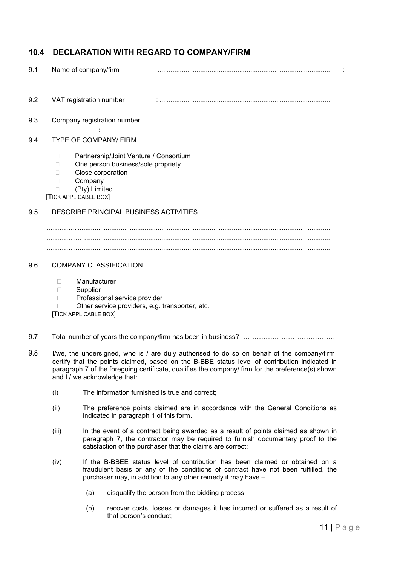# 10.4 DECLARATION WITH REGARD TO COMPANY/FIRM

| 9.1 | Name of company/firm                                                                                                                                                            |  |
|-----|---------------------------------------------------------------------------------------------------------------------------------------------------------------------------------|--|
| 9.2 | VAT registration number                                                                                                                                                         |  |
| 9.3 | Company registration number                                                                                                                                                     |  |
| 9.4 | <b>TYPE OF COMPANY/ FIRM</b>                                                                                                                                                    |  |
|     | Partnership/Joint Venture / Consortium<br>П<br>One person business/sole propriety<br>П<br>Close corporation<br>П<br>Company<br>П<br>(Pty) Limited<br>П<br>[TICK APPLICABLE BOX] |  |
| 9.5 | DESCRIBE PRINCIPAL BUSINESS ACTIVITIES                                                                                                                                          |  |
|     |                                                                                                                                                                                 |  |
|     |                                                                                                                                                                                 |  |
| 9.6 | <b>COMPANY CLASSIFICATION</b>                                                                                                                                                   |  |
|     | Manufacturer<br>П<br>Supplier<br>$\Box$<br>Professional service provider<br>П<br>Other service providers, e.g. transporter, etc.<br>П<br><b>TICK APPLICABLE BOX</b>             |  |

- 9.7 Total number of years the company/firm has been in business? ………………………………………
- 9.8 I/we, the undersigned, who is / are duly authorised to do so on behalf of the company/firm, certify that the points claimed, based on the B-BBE status level of contribution indicated in paragraph 7 of the foregoing certificate, qualifies the company/ firm for the preference(s) shown and I / we acknowledge that:
	- (i) The information furnished is true and correct;
	- (ii) The preference points claimed are in accordance with the General Conditions as indicated in paragraph 1 of this form.
	- (iii) In the event of a contract being awarded as a result of points claimed as shown in paragraph 7, the contractor may be required to furnish documentary proof to the satisfaction of the purchaser that the claims are correct;
	- (iv) If the B-BBEE status level of contribution has been claimed or obtained on a fraudulent basis or any of the conditions of contract have not been fulfilled, the purchaser may, in addition to any other remedy it may have –
		- (a) disqualify the person from the bidding process;
		- (b) recover costs, losses or damages it has incurred or suffered as a result of that person's conduct;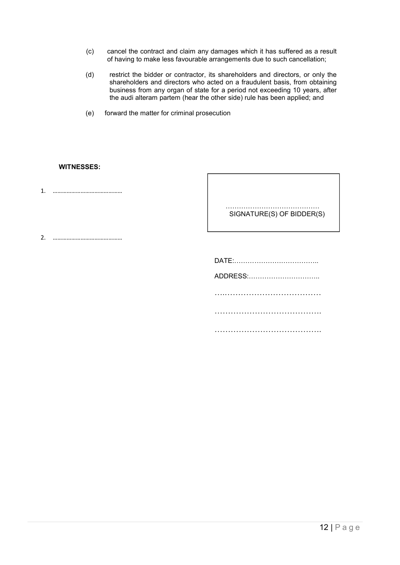- (c) cancel the contract and claim any damages which it has suffered as a result of having to make less favourable arrangements due to such cancellation;
- (d) restrict the bidder or contractor, its shareholders and directors, or only the shareholders and directors who acted on a fraudulent basis, from obtaining business from any organ of state for a period not exceeding 10 years, after the audi alteram partem (hear the other side) rule has been applied; and
- (e) forward the matter for criminal prosecution

#### WITNESSES:

1. ………………………………………

……………………………………… SIGNATURE(S) OF BIDDER(S)

2. ………………………………………

DATE:……………………………….. ADDRESS:………………………….. ….……………………………… …………………………………. …………………………………………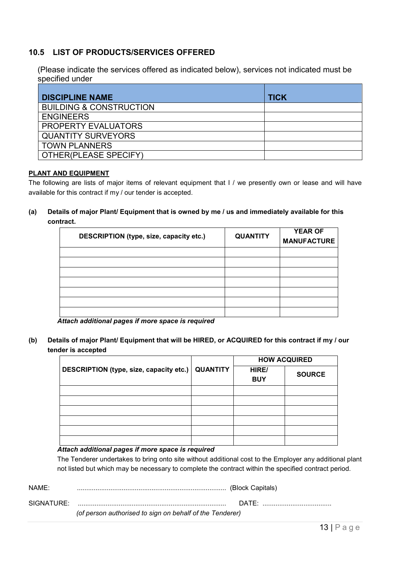### 10.5 LIST OF PRODUCTS/SERVICES OFFERED

 (Please indicate the services offered as indicated below), services not indicated must be specified under

| <b>DISCIPLINE NAME</b>             | <b>TICK</b> |
|------------------------------------|-------------|
| <b>BUILDING &amp; CONSTRUCTION</b> |             |
| <b>ENGINEERS</b>                   |             |
| <b>PROPERTY EVALUATORS</b>         |             |
| <b>QUANTITY SURVEYORS</b>          |             |
| <b>TOWN PLANNERS</b>               |             |
| OTHER(PLEASE SPECIFY)              |             |

#### PLANT AND EQUIPMENT

The following are lists of major items of relevant equipment that I / we presently own or lease and will have available for this contract if my / our tender is accepted.

(a) Details of major Plant/ Equipment that is owned by me / us and immediately available for this contract.

| DESCRIPTION (type, size, capacity etc.) | <b>QUANTITY</b> | <b>YEAR OF</b><br><b>MANUFACTURE</b> |
|-----------------------------------------|-----------------|--------------------------------------|
|                                         |                 |                                      |
|                                         |                 |                                      |
|                                         |                 |                                      |
|                                         |                 |                                      |
|                                         |                 |                                      |
|                                         |                 |                                      |
|                                         |                 |                                      |

*Attach additional pages if more space is required*

(b) Details of major Plant/ Equipment that will be HIRED, or ACQUIRED for this contract if my / our tender is accepted

|                                         |                 | <b>HOW ACQUIRED</b> |               |
|-----------------------------------------|-----------------|---------------------|---------------|
| DESCRIPTION (type, size, capacity etc.) | <b>QUANTITY</b> | HIRE/<br><b>BUY</b> | <b>SOURCE</b> |
|                                         |                 |                     |               |
|                                         |                 |                     |               |
|                                         |                 |                     |               |
|                                         |                 |                     |               |
|                                         |                 |                     |               |
|                                         |                 |                     |               |

#### *Attach additional pages if more space is required*

The Tenderer undertakes to bring onto site without additional cost to the Employer any additional plant not listed but which may be necessary to complete the contract within the specified contract period.

| NAME:      |                                                          |                 |
|------------|----------------------------------------------------------|-----------------|
| SIGNATURE: | (of person authorised to sign on behalf of the Tenderer) | $\mathsf{DATF}$ |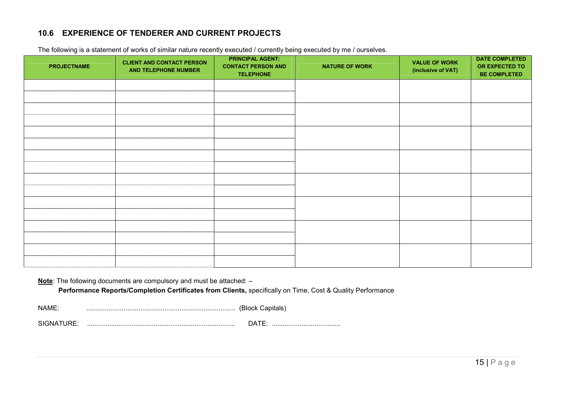# 10.6 EXPERIENCE OF TENDERER AND CURRENT PROJECTS

| <b>PROJECTNAME</b> | <b>CLIENT AND CONTACT PERSON</b><br>AND TELEPHONE NUMBER | <b>PRINCIPAL AGENT:</b><br><b>CONTACT PERSON AND</b><br><b>TELEPHONE</b> | <b>NATURE OF WORK</b> | <b>VALUE OF WORK</b><br>(inclusive of VAT) | <b>DATE COMPLETED</b><br>OR EXPECTED TO<br><b>BE COMPLETED</b> |
|--------------------|----------------------------------------------------------|--------------------------------------------------------------------------|-----------------------|--------------------------------------------|----------------------------------------------------------------|
|                    |                                                          |                                                                          |                       |                                            |                                                                |
|                    |                                                          |                                                                          |                       |                                            |                                                                |
|                    |                                                          |                                                                          |                       |                                            |                                                                |
|                    |                                                          |                                                                          |                       |                                            |                                                                |
|                    |                                                          |                                                                          |                       |                                            |                                                                |
|                    |                                                          |                                                                          |                       |                                            |                                                                |
|                    |                                                          |                                                                          |                       |                                            |                                                                |
|                    |                                                          |                                                                          |                       |                                            |                                                                |
|                    |                                                          |                                                                          |                       |                                            |                                                                |
|                    |                                                          |                                                                          |                       |                                            |                                                                |
|                    |                                                          |                                                                          |                       |                                            |                                                                |
|                    |                                                          |                                                                          |                       |                                            |                                                                |
|                    |                                                          |                                                                          |                       |                                            |                                                                |
|                    |                                                          |                                                                          |                       |                                            |                                                                |
|                    |                                                          |                                                                          |                       |                                            |                                                                |
|                    |                                                          |                                                                          |                       |                                            |                                                                |

The following is a statement of works of similar nature recently executed / currently being executed by me / ourselves.

Note: The following documents are compulsory and must be attached: -

Performance Reports/Completion Certificates from Clients, specifically on Time, Cost & Quality Performance

NAME: ................................................................................ (Block Capitals)

SIGNATURE: ................................................................................ DATE: .....................................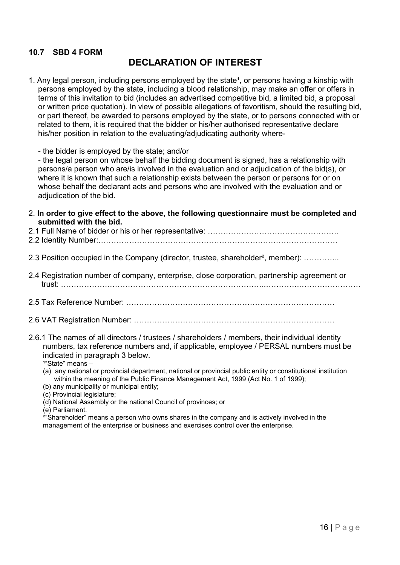# 10.7 SBD 4 FORM

# DECLARATION OF INTEREST

1. Any legal person, including persons employed by the state<sup>1</sup>, or persons having a kinship with persons employed by the state, including a blood relationship, may make an offer or offers in terms of this invitation to bid (includes an advertised competitive bid, a limited bid, a proposal or written price quotation). In view of possible allegations of favoritism, should the resulting bid, or part thereof, be awarded to persons employed by the state, or to persons connected with or related to them, it is required that the bidder or his/her authorised representative declare his/her position in relation to the evaluating/adjudicating authority where-

- the bidder is employed by the state; and/or

- the legal person on whose behalf the bidding document is signed, has a relationship with persons/a person who are/is involved in the evaluation and or adjudication of the bid(s), or where it is known that such a relationship exists between the person or persons for or on whose behalf the declarant acts and persons who are involved with the evaluation and or adjudication of the bid.

2. In order to give effect to the above, the following questionnaire must be completed and submitted with the bid.

2.3 Position occupied in the Company (director, trustee, shareholder<sup>2</sup>, member): ………….

- 2.4 Registration number of company, enterprise, close corporation, partnership agreement or trust: ……………………………………………………………………..………….……………………
- 2.5 Tax Reference Number: ………………………………………………………………………
- 2.6 VAT Registration Number: ……………………………………………………………………
- 2.6.1 The names of all directors / trustees / shareholders / members, their individual identity numbers, tax reference numbers and, if applicable, employee / PERSAL numbers must be indicated in paragraph 3 below.

 $1^{\circ}$ State" means –

- (a) any national or provincial department, national or provincial public entity or constitutional institution within the meaning of the Public Finance Management Act, 1999 (Act No. 1 of 1999);
- (b) any municipality or municipal entity;
- (c) Provincial legislature;
- (d) National Assembly or the national Council of provinces; or

(e) Parliament.

<sup>2"</sup>Shareholder" means a person who owns shares in the company and is actively involved in the management of the enterprise or business and exercises control over the enterprise.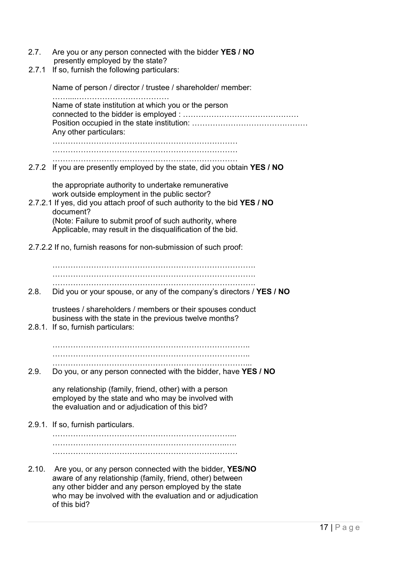| 2.7. | Are you or any person connected with the bidder YES / NO |
|------|----------------------------------------------------------|
|      | presently employed by the state?                         |

2.7.1 If so, furnish the following particulars:

Name of person / director / trustee / shareholder/ member: ……....……………………………… Name of state institution at which you or the person connected to the bidder is employed : ……………………………………… Position occupied in the state institution: ……………………………………… Any other particulars: ……………………………………………………………… ……………………………………………………………… ……………………………………………………………… 2.7.2 If you are presently employed by the state, did you obtain YES / NO the appropriate authority to undertake remunerative work outside employment in the public sector? 2.7.2.1 If yes, did you attach proof of such authority to the bid YES / NO document? (Note: Failure to submit proof of such authority, where Applicable, may result in the disqualification of the bid. 2.7.2.2 If no, furnish reasons for non-submission of such proof: ……………………………………………………………………. ……………………………………………………………………. ……………………………………………………………………. 2.8. Did you or your spouse, or any of the company's directors / **YES / NO** trustees / shareholders / members or their spouses conduct business with the state in the previous twelve months? 2.8.1. If so, furnish particulars: ………………………………………………………………….. ………………………………………………………………….. …………………………………………………………………... 2.9. Do you, or any person connected with the bidder, have YES / NO any relationship (family, friend, other) with a person employed by the state and who may be involved with the evaluation and or adjudication of this bid? 2.9.1. If so, furnish particulars. ……………………………………………………………... …………………………………………………………..…. ……………………………………………………………… 2.10. Are you, or any person connected with the bidder, YES/NO aware of any relationship (family, friend, other) between any other bidder and any person employed by the state who may be involved with the evaluation and or adjudication of this bid?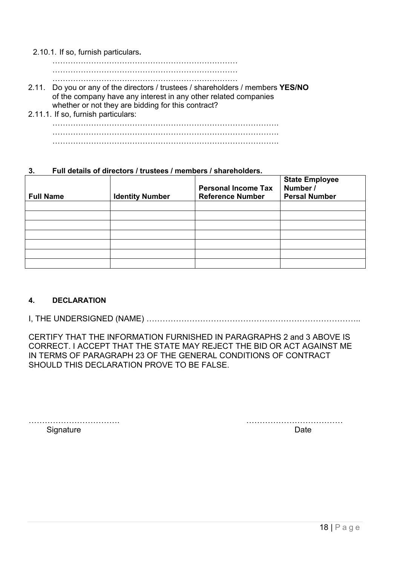2.10.1. If so, furnish particulars.

……………………………………………………………… ………………………………………………………………

………………………………………………………………

- 2.11. Do you or any of the directors / trustees / shareholders / members YES/NO of the company have any interest in any other related companies whether or not they are bidding for this contract?
- 2.11.1. If so, furnish particulars: ……………………………………………………………………………. ……………………………………………………………………………. …………………………………………………………………………….

### 3. Full details of directors / trustees / members / shareholders.

| <b>Full Name</b> | <b>Identity Number</b> | <b>Personal Income Tax</b><br><b>Reference Number</b> | <b>State Employee</b><br>Number /<br><b>Persal Number</b> |
|------------------|------------------------|-------------------------------------------------------|-----------------------------------------------------------|
|                  |                        |                                                       |                                                           |
|                  |                        |                                                       |                                                           |
|                  |                        |                                                       |                                                           |
|                  |                        |                                                       |                                                           |
|                  |                        |                                                       |                                                           |
|                  |                        |                                                       |                                                           |
|                  |                        |                                                       |                                                           |

### 4. DECLARATION

I, THE UNDERSIGNED (NAME) ……………………………………………………………………..

CERTIFY THAT THE INFORMATION FURNISHED IN PARAGRAPHS 2 and 3 ABOVE IS CORRECT. I ACCEPT THAT THE STATE MAY REJECT THE BID OR ACT AGAINST ME IN TERMS OF PARAGRAPH 23 OF THE GENERAL CONDITIONS OF CONTRACT SHOULD THIS DECLARATION PROVE TO BE FALSE.

Signature Date **Date** 

……………………………. ………………………………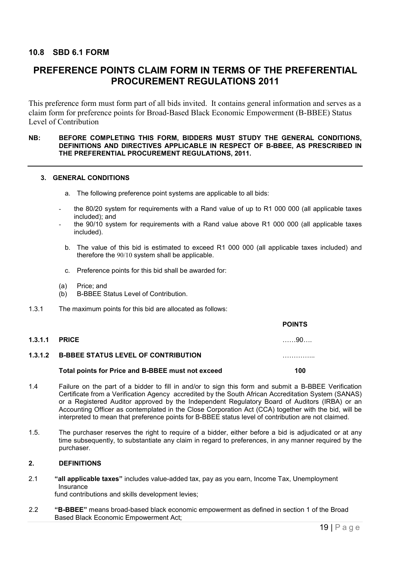### 10.8 SBD 6.1 FORM

# PREFERENCE POINTS CLAIM FORM IN TERMS OF THE PREFERENTIAL PROCUREMENT REGULATIONS 2011

This preference form must form part of all bids invited. It contains general information and serves as a claim form for preference points for Broad-Based Black Economic Empowerment (B-BBEE) Status Level of Contribution

#### NB: BEFORE COMPLETING THIS FORM, BIDDERS MUST STUDY THE GENERAL CONDITIONS, DEFINITIONS AND DIRECTIVES APPLICABLE IN RESPECT OF B-BBEE, AS PRESCRIBED IN THE PREFERENTIAL PROCUREMENT REGULATIONS, 2011.

#### 3. GENERAL CONDITIONS

- a. The following preference point systems are applicable to all bids:
- the 80/20 system for requirements with a Rand value of up to R1 000 000 (all applicable taxes included); and
- the 90/10 system for requirements with a Rand value above R1 000 000 (all applicable taxes included).
- b. The value of this bid is estimated to exceed R1 000 000 (all applicable taxes included) and therefore the 90/10 system shall be applicable.
- c. Preference points for this bid shall be awarded for:
- (a) Price; and
- (b) B-BBEE Status Level of Contribution.
- 1.3.1 The maximum points for this bid are allocated as follows:

|                                                   | <b>POINTS</b> |
|---------------------------------------------------|---------------|
| <b>1.3.1.1 PRICE</b>                              | . 90.         |
| 1.3.1.2 B-BBEE STATUS LEVEL OF CONTRIBUTION       |               |
| Total points for Price and B-BBEE must not exceed | 100           |
|                                                   |               |

- 1.4 Failure on the part of a bidder to fill in and/or to sign this form and submit a B-BBEE Verification Certificate from a Verification Agency accredited by the South African Accreditation System (SANAS) or a Registered Auditor approved by the Independent Regulatory Board of Auditors (IRBA) or an Accounting Officer as contemplated in the Close Corporation Act (CCA) together with the bid, will be interpreted to mean that preference points for B-BBEE status level of contribution are not claimed.
- 1.5. The purchaser reserves the right to require of a bidder, either before a bid is adjudicated or at any time subsequently, to substantiate any claim in regard to preferences, in any manner required by the purchaser.

#### 2. DEFINITIONS

- 2.1 "all applicable taxes" includes value-added tax, pay as you earn, Income Tax, Unemployment Insurance fund contributions and skills development levies;
- 2.2 "B-BBEE" means broad-based black economic empowerment as defined in section 1 of the Broad Based Black Economic Empowerment Act;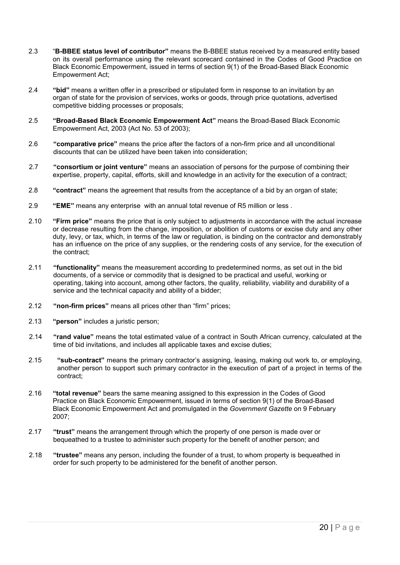- 2.3 "B-BBEE status level of contributor" means the B-BBEE status received by a measured entity based on its overall performance using the relevant scorecard contained in the Codes of Good Practice on Black Economic Empowerment, issued in terms of section 9(1) of the Broad-Based Black Economic Empowerment Act;
- 2.4 "bid" means a written offer in a prescribed or stipulated form in response to an invitation by an organ of state for the provision of services, works or goods, through price quotations, advertised competitive bidding processes or proposals;
- 2.5 "Broad-Based Black Economic Empowerment Act" means the Broad-Based Black Economic Empowerment Act, 2003 (Act No. 53 of 2003);
- 2.6 "comparative price" means the price after the factors of a non-firm price and all unconditional discounts that can be utilized have been taken into consideration;
- 2.7 "consortium or joint venture" means an association of persons for the purpose of combining their expertise, property, capital, efforts, skill and knowledge in an activity for the execution of a contract;
- 2.8 "contract" means the agreement that results from the acceptance of a bid by an organ of state;
- 2.9 "EME" means any enterprise with an annual total revenue of R5 million or less .
- 2.10 "Firm price" means the price that is only subject to adjustments in accordance with the actual increase or decrease resulting from the change, imposition, or abolition of customs or excise duty and any other duty, levy, or tax, which, in terms of the law or regulation, is binding on the contractor and demonstrably has an influence on the price of any supplies, or the rendering costs of any service, for the execution of the contract;
- 2.11 "functionality" means the measurement according to predetermined norms, as set out in the bid documents, of a service or commodity that is designed to be practical and useful, working or operating, taking into account, among other factors, the quality, reliability, viability and durability of a service and the technical capacity and ability of a bidder:
- 2.12 "non-firm prices" means all prices other than "firm" prices;
- 2.13 "person" includes a juristic person;
- 2.14 "rand value" means the total estimated value of a contract in South African currency, calculated at the time of bid invitations, and includes all applicable taxes and excise duties;
- 2.15 "sub-contract" means the primary contractor's assigning, leasing, making out work to, or employing, another person to support such primary contractor in the execution of part of a project in terms of the contract;
- 2.16 "total revenue" bears the same meaning assigned to this expression in the Codes of Good Practice on Black Economic Empowerment, issued in terms of section 9(1) of the Broad-Based Black Economic Empowerment Act and promulgated in the *Government Gazette* on 9 February 2007;
- 2.17 "trust" means the arrangement through which the property of one person is made over or bequeathed to a trustee to administer such property for the benefit of another person; and
- 2.18 "trustee" means any person, including the founder of a trust, to whom property is bequeathed in order for such property to be administered for the benefit of another person.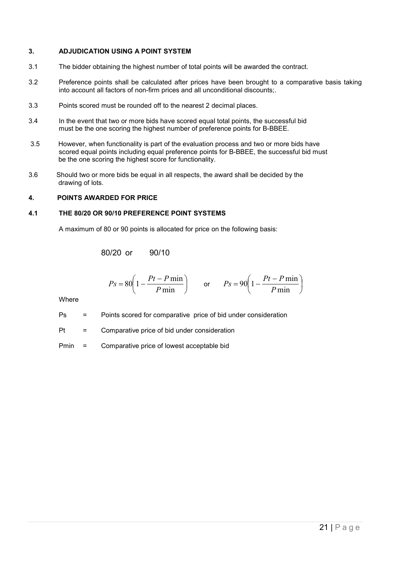#### 3. ADJUDICATION USING A POINT SYSTEM

- 3.1 The bidder obtaining the highest number of total points will be awarded the contract.
- 3.2 Preference points shall be calculated after prices have been brought to a comparative basis taking into account all factors of non-firm prices and all unconditional discounts;.
- 3.3 Points scored must be rounded off to the nearest 2 decimal places.
- 3.4 In the event that two or more bids have scored equal total points, the successful bid must be the one scoring the highest number of preference points for B-BBEE.
- 3.5 However, when functionality is part of the evaluation process and two or more bids have scored equal points including equal preference points for B-BBEE, the successful bid must be the one scoring the highest score for functionality.
- 3.6 Should two or more bids be equal in all respects, the award shall be decided by the drawing of lots.

#### 4. POINTS AWARDED FOR PRICE

#### 4.1 THE 80/20 OR 90/10 PREFERENCE POINT SYSTEMS

A maximum of 80 or 90 points is allocated for price on the following basis:

80/20 or 90/10

$$
Ps = 80 \left( 1 - \frac{Pt - P \min}{P \min} \right) \qquad \text{or} \qquad Ps = 90 \left( 1 - \frac{Pt - P \min}{P \min} \right)
$$

Where

Ps = Points scored for comparative price of bid under consideration

 $Pt =$  Comparative price of bid under consideration

Pmin = Comparative price of lowest acceptable bid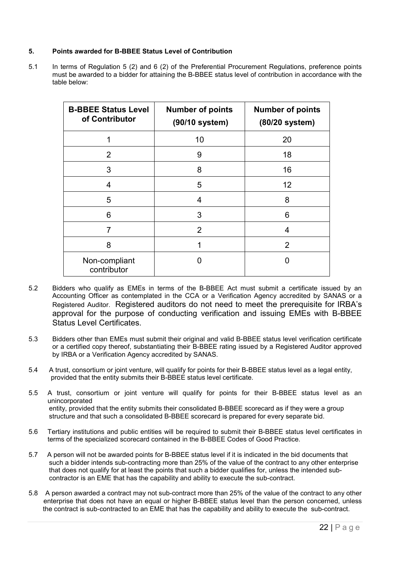#### 5. Points awarded for B-BBEE Status Level of Contribution

5.1 In terms of Regulation 5 (2) and 6 (2) of the Preferential Procurement Regulations, preference points must be awarded to a bidder for attaining the B-BBEE status level of contribution in accordance with the table below:

| <b>B-BBEE Status Level</b><br>of Contributor | <b>Number of points</b><br>(90/10 system) | <b>Number of points</b><br>(80/20 system) |
|----------------------------------------------|-------------------------------------------|-------------------------------------------|
|                                              | 10                                        | 20                                        |
| 2                                            | 9                                         | 18                                        |
| 3                                            | 8                                         | 16                                        |
| 4                                            | 5                                         | 12                                        |
| 5                                            | 4                                         | 8                                         |
| 6                                            | 3                                         | 6                                         |
| 7                                            | $\overline{2}$                            | 4                                         |
| 8                                            |                                           | 2                                         |
| Non-compliant<br>contributor                 | O                                         | ი                                         |

- 5.2 Bidders who qualify as EMEs in terms of the B-BBEE Act must submit a certificate issued by an Accounting Officer as contemplated in the CCA or a Verification Agency accredited by SANAS or a Registered Auditor. Registered auditors do not need to meet the prerequisite for IRBA's approval for the purpose of conducting verification and issuing EMEs with B-BBEE Status Level Certificates.
- 5.3 Bidders other than EMEs must submit their original and valid B-BBEE status level verification certificate or a certified copy thereof, substantiating their B-BBEE rating issued by a Registered Auditor approved by IRBA or a Verification Agency accredited by SANAS.
- 5.4 A trust, consortium or joint venture, will qualify for points for their B-BBEE status level as a legal entity, provided that the entity submits their B-BBEE status level certificate.
- 5.5 A trust, consortium or joint venture will qualify for points for their B-BBEE status level as an unincorporated entity, provided that the entity submits their consolidated B-BBEE scorecard as if they were a group structure and that such a consolidated B-BBEE scorecard is prepared for every separate bid.
- 5.6 Tertiary institutions and public entities will be required to submit their B-BBEE status level certificates in terms of the specialized scorecard contained in the B-BBEE Codes of Good Practice.
- 5.7 A person will not be awarded points for B-BBEE status level if it is indicated in the bid documents that such a bidder intends sub-contracting more than 25% of the value of the contract to any other enterprise that does not qualify for at least the points that such a bidder qualifies for, unless the intended sub contractor is an EME that has the capability and ability to execute the sub-contract.
- 5.8 A person awarded a contract may not sub-contract more than 25% of the value of the contract to any other enterprise that does not have an equal or higher B-BBEE status level than the person concerned, unless the contract is sub-contracted to an EME that has the capability and ability to execute the sub-contract.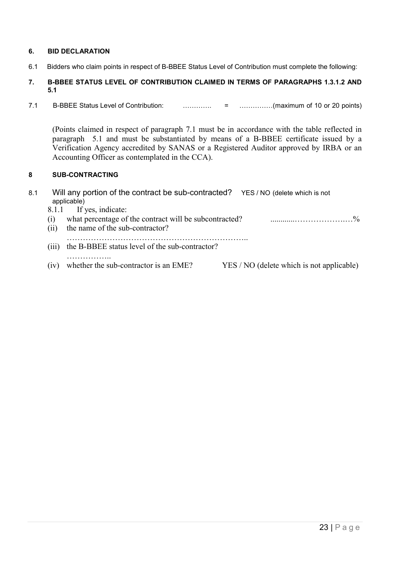#### 6. BID DECLARATION

6.1 Bidders who claim points in respect of B-BBEE Status Level of Contribution must complete the following:

#### 7. B-BBEE STATUS LEVEL OF CONTRIBUTION CLAIMED IN TERMS OF PARAGRAPHS 1.3.1.2 AND 5.1

7.1 B-BBEE Status Level of Contribution: …………. = ……………(maximum of 10 or 20 points)

(Points claimed in respect of paragraph 7.1 must be in accordance with the table reflected in paragraph 5.1 and must be substantiated by means of a B-BBEE certificate issued by a Verification Agency accredited by SANAS or a Registered Auditor approved by IRBA or an Accounting Officer as contemplated in the CCA).

### 8 SUB-CONTRACTING

| 8.1 |              | Will any portion of the contract be sub-contracted? YES/NO (delete which is not<br>applicable) |                                           |
|-----|--------------|------------------------------------------------------------------------------------------------|-------------------------------------------|
|     | 8.1.1<br>(1) | If yes, indicate:<br>what percentage of the contract will be subcontracted?                    | $\frac{0}{0}$                             |
|     | (11)         | the name of the sub-contractor?                                                                |                                           |
|     | (111)        | the B-BBEE status level of the sub-contractor?                                                 |                                           |
|     | (1V)         | whether the sub-contractor is an EME?                                                          | YES / NO (delete which is not applicable) |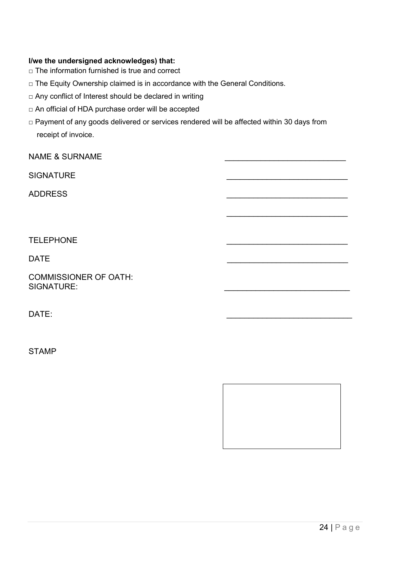### I/we the undersigned acknowledges) that:

- □ The information furnished is true and correct
- □ The Equity Ownership claimed is in accordance with the General Conditions.
- □ Any conflict of Interest should be declared in writing
- □ An official of HDA purchase order will be accepted
- □ Payment of any goods delivered or services rendered will be affected within 30 days from receipt of invoice.

NAME & SURNAME

SIGNATURF

ADDRESS \_\_\_\_\_\_\_\_\_\_\_\_\_\_\_\_\_\_\_\_\_\_\_\_\_\_\_

**TELEPHONE** 

DATE \_\_\_\_\_\_\_\_\_\_\_\_\_\_\_\_\_\_\_\_\_\_\_\_\_\_\_

COMMISSIONER OF OATH: SIGNATURE:

DATE: \_\_\_\_\_\_\_\_\_\_\_\_\_\_\_\_\_\_\_\_\_\_\_\_\_\_\_\_

STAMP



 $\mathcal{L}_\text{max}$  and  $\mathcal{L}_\text{max}$  are the set of the set of the set of the set of the set of the set of the set of the set of the set of the set of the set of the set of the set of the set of the set of the set of the set o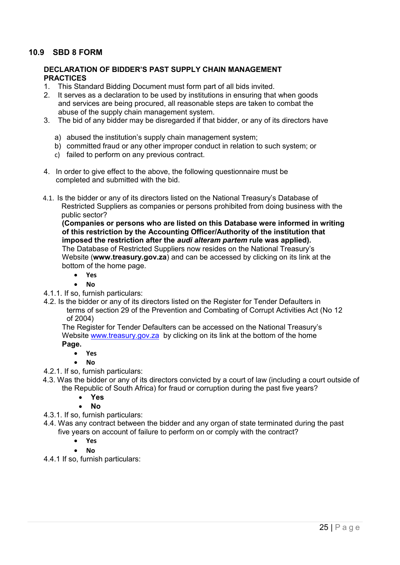### 10.9 SBD 8 FORM

#### DECLARATION OF BIDDER'S PAST SUPPLY CHAIN MANAGEMENT **PRACTICES**

- 1. This Standard Bidding Document must form part of all bids invited.
- 2. It serves as a declaration to be used by institutions in ensuring that when goods and services are being procured, all reasonable steps are taken to combat the abuse of the supply chain management system.
- 3. The bid of any bidder may be disregarded if that bidder, or any of its directors have
	- a) abused the institution's supply chain management system;
	- b) committed fraud or any other improper conduct in relation to such system; or
	- c) failed to perform on any previous contract.
- 4. In order to give effect to the above, the following questionnaire must be completed and submitted with the bid.
- 4.1. Is the bidder or any of its directors listed on the National Treasury's Database of Restricted Suppliers as companies or persons prohibited from doing business with the public sector?

(Companies or persons who are listed on this Database were informed in writing of this restriction by the Accounting Officer/Authority of the institution that imposed the restriction after the *audi alteram partem* rule was applied). The Database of Restricted Suppliers now resides on the National Treasury's Website (www.treasury.gov.za) and can be accessed by clicking on its link at the bottom of the home page.

- Yes
	- No
- 4.1.1. If so, furnish particulars:
- 4.2. Is the bidder or any of its directors listed on the Register for Tender Defaulters in terms of section 29 of the Prevention and Combating of Corrupt Activities Act (No 12 of 2004)

The Register for Tender Defaulters can be accessed on the National Treasury's Website www.treasury.gov.za by clicking on its link at the bottom of the home Page.

- Yes
- No
- 4.2.1. If so, furnish particulars:
- 4.3. Was the bidder or any of its directors convicted by a court of law (including a court outside of the Republic of South Africa) for fraud or corruption during the past five years?
	- Yes
	- No
- 4.3.1. If so, furnish particulars:
- 4.4. Was any contract between the bidder and any organ of state terminated during the past five years on account of failure to perform on or comply with the contract?
	- Yes
	- No
- 4.4.1 If so, furnish particulars: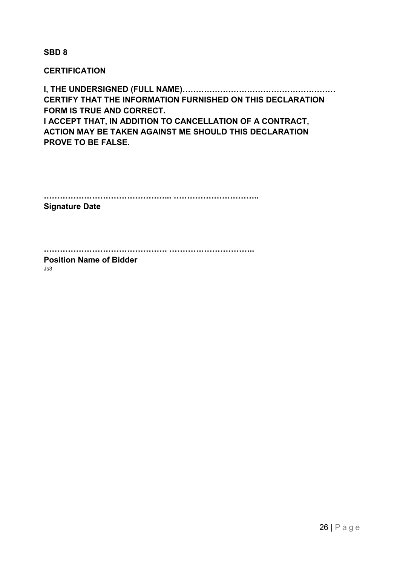SBD 8

**CERTIFICATION** 

I, THE UNDERSIGNED (FULL NAME)………………………………………………… CERTIFY THAT THE INFORMATION FURNISHED ON THIS DECLARATION FORM IS TRUE AND CORRECT. I ACCEPT THAT, IN ADDITION TO CANCELLATION OF A CONTRACT, ACTION MAY BE TAKEN AGAINST ME SHOULD THIS DECLARATION PROVE TO BE FALSE.

………………………………………... …………………………..

Signature Date

………………………………………. …………………………..

Position Name of Bidder Js3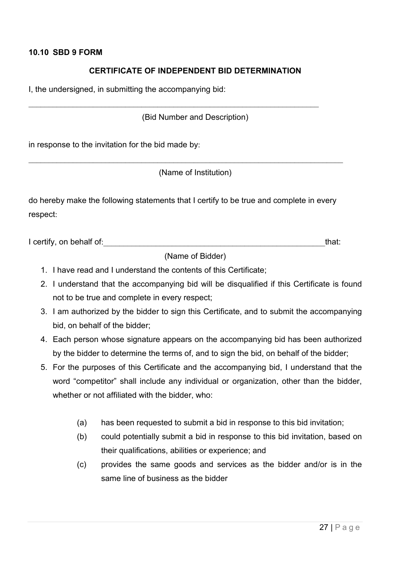### 10.10 SBD 9 FORM

# CERTIFICATE OF INDEPENDENT BID DETERMINATION

I, the undersigned, in submitting the accompanying bid:

(Bid Number and Description)

 $\mathcal{L}_\text{G} = \{ \mathcal{L}_\text{G} \mid \mathcal{L}_\text{G} \mid \mathcal{L}_\text{G} \mid \mathcal{L}_\text{G} \mid \mathcal{L}_\text{G} \mid \mathcal{L}_\text{G} \mid \mathcal{L}_\text{G} \mid \mathcal{L}_\text{G} \mid \mathcal{L}_\text{G} \mid \mathcal{L}_\text{G} \mid \mathcal{L}_\text{G} \mid \mathcal{L}_\text{G} \mid \mathcal{L}_\text{G} \mid \mathcal{L}_\text{G} \mid \mathcal{L}_\text{G} \mid \mathcal{L}_\text{G}$ 

in response to the invitation for the bid made by:

(Name of Institution)

do hereby make the following statements that I certify to be true and complete in every respect:

\_\_\_\_\_\_\_\_\_\_\_\_\_\_\_\_\_\_\_\_\_\_\_\_\_\_\_\_\_\_\_\_\_\_\_\_\_\_\_\_\_\_\_\_\_\_\_\_\_\_\_\_\_\_\_\_\_\_\_\_\_\_\_\_\_\_\_\_\_\_\_\_\_\_\_\_\_\_

I certify, on behalf of:\_\_\_\_\_\_\_\_\_\_\_\_\_\_\_\_\_\_\_\_\_\_\_\_\_\_\_\_\_\_\_\_\_\_\_\_\_\_\_\_\_\_\_\_\_\_\_\_\_\_\_\_\_\_\_that:

(Name of Bidder)

- 1. I have read and I understand the contents of this Certificate;
- 2. I understand that the accompanying bid will be disqualified if this Certificate is found not to be true and complete in every respect;
- 3. I am authorized by the bidder to sign this Certificate, and to submit the accompanying bid, on behalf of the bidder;
- 4. Each person whose signature appears on the accompanying bid has been authorized by the bidder to determine the terms of, and to sign the bid, on behalf of the bidder;
- 5. For the purposes of this Certificate and the accompanying bid, I understand that the word "competitor" shall include any individual or organization, other than the bidder, whether or not affiliated with the bidder, who:
	- (a) has been requested to submit a bid in response to this bid invitation;
	- (b) could potentially submit a bid in response to this bid invitation, based on their qualifications, abilities or experience; and
	- (c) provides the same goods and services as the bidder and/or is in the same line of business as the bidder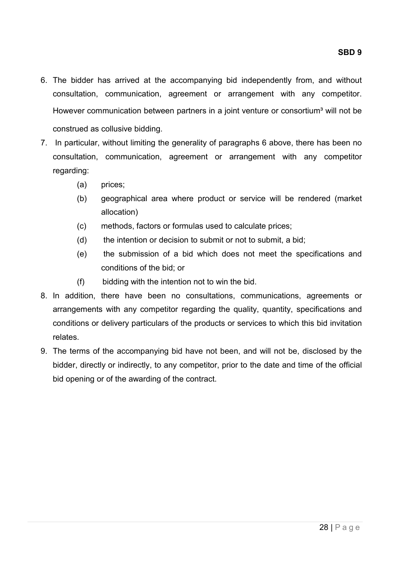- 6. The bidder has arrived at the accompanying bid independently from, and without consultation, communication, agreement or arrangement with any competitor. However communication between partners in a joint venture or consortium<sup>3</sup> will not be construed as collusive bidding.
- 7. In particular, without limiting the generality of paragraphs 6 above, there has been no consultation, communication, agreement or arrangement with any competitor regarding:
	- (a) prices;
	- (b) geographical area where product or service will be rendered (market allocation)
	- (c) methods, factors or formulas used to calculate prices;
	- (d) the intention or decision to submit or not to submit, a bid;
	- (e) the submission of a bid which does not meet the specifications and conditions of the bid; or
	- (f) bidding with the intention not to win the bid.
- 8. In addition, there have been no consultations, communications, agreements or arrangements with any competitor regarding the quality, quantity, specifications and conditions or delivery particulars of the products or services to which this bid invitation relates.
- 9. The terms of the accompanying bid have not been, and will not be, disclosed by the bidder, directly or indirectly, to any competitor, prior to the date and time of the official bid opening or of the awarding of the contract.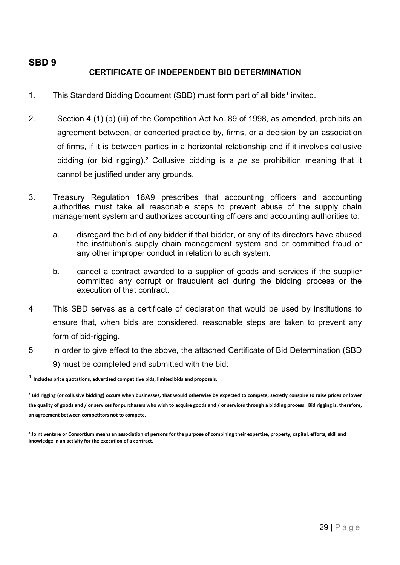# SBD 9 CERTIFICATE OF INDEPENDENT BID DETERMINATION

- 1. This Standard Bidding Document (SBD) must form part of all bids<sup>1</sup> invited.
- 2. Section 4 (1) (b) (iii) of the Competition Act No. 89 of 1998, as amended, prohibits an agreement between, or concerted practice by, firms, or a decision by an association of firms, if it is between parties in a horizontal relationship and if it involves collusive bidding (or bid rigging).² Collusive bidding is a *pe se* prohibition meaning that it cannot be justified under any grounds.
- 3. Treasury Regulation 16A9 prescribes that accounting officers and accounting authorities must take all reasonable steps to prevent abuse of the supply chain management system and authorizes accounting officers and accounting authorities to:
	- a. disregard the bid of any bidder if that bidder, or any of its directors have abused the institution's supply chain management system and or committed fraud or any other improper conduct in relation to such system.
	- b. cancel a contract awarded to a supplier of goods and services if the supplier committed any corrupt or fraudulent act during the bidding process or the execution of that contract.
- 4 This SBD serves as a certificate of declaration that would be used by institutions to ensure that, when bids are considered, reasonable steps are taken to prevent any form of bid-rigging.
- 5 In order to give effect to the above, the attached Certificate of Bid Determination (SBD 9) must be completed and submitted with the bid:

 $1$  Includes price quotations, advertised competitive bids, limited bids and proposals.

<sup>&</sup>lt;sup>2</sup> Bid rigging (or collusive bidding) occurs when businesses, that would otherwise be expected to compete, secretly conspire to raise prices or lower the quality of goods and / or services for purchasers who wish to acquire goods and / or services through a bidding process. Bid rigging is, therefore, an agreement between competitors not to compete.

<sup>&</sup>lt;sup>3</sup> Joint venture or Consortium means an association of persons for the purpose of combining their expertise, property, capital, efforts, skill and knowledge in an activity for the execution of a contract.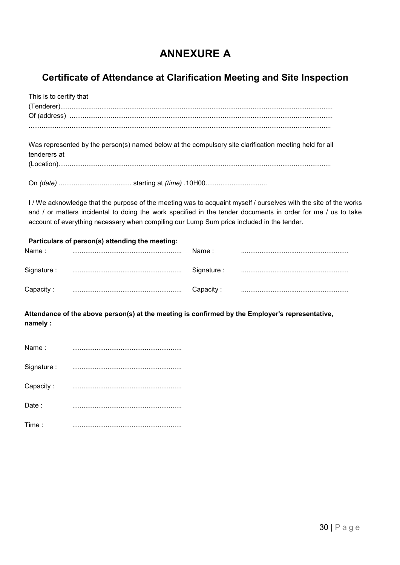# ANNEXURE A

# Certificate of Attendance at Clarification Meeting and Site Inspection

This is to certify that (Tenderer).................................................................................................................................................. Of (address) ............................................................................................................................................. .................................................................................................................................................................. Was represented by the person(s) named below at the compulsory site clarification meeting held for all tenderers at (Location)..................................................................................................................................................

On *(date)* ....................................... starting at *(time)* .10H00.................................

I / We acknowledge that the purpose of the meeting was to acquaint myself / ourselves with the site of the works and / or matters incidental to doing the work specified in the tender documents in order for me / us to take account of everything necessary when compiling our Lump Sum price included in the tender.

| Particulars of person(s) attending the meeting:<br>Name :<br>Name : |  |             |  |  |
|---------------------------------------------------------------------|--|-------------|--|--|
|                                                                     |  |             |  |  |
| Signature :                                                         |  | Signature : |  |  |
| Capacity :                                                          |  | Capacity:   |  |  |

Attendance of the above person(s) at the meeting is confirmed by the Employer's representative, namely :

| Name:      |  |
|------------|--|
| Signature: |  |
| Capacity:  |  |
| Date:      |  |
| Time:      |  |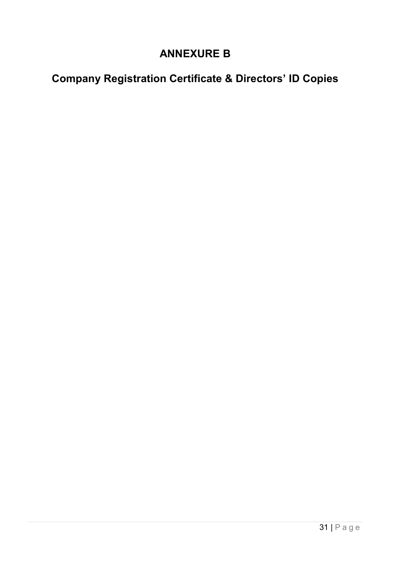# **ANNEXURE B**

# **Company Registration Certificate & Directors' ID Copies**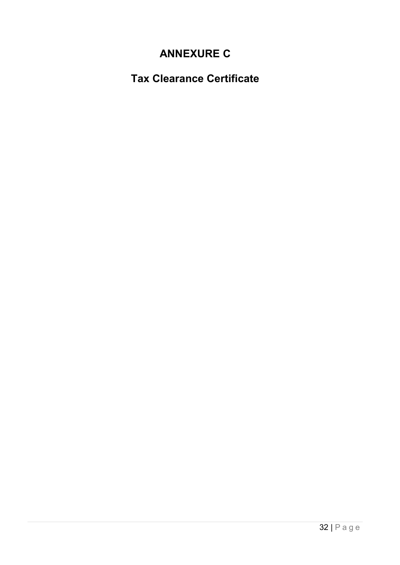# **ANNEXURE C**

**Tax Clearance Certificate**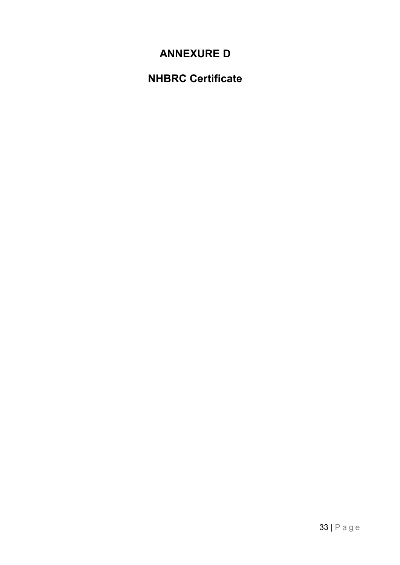# **ANNEXURE D**

# **NHBRC Certificate**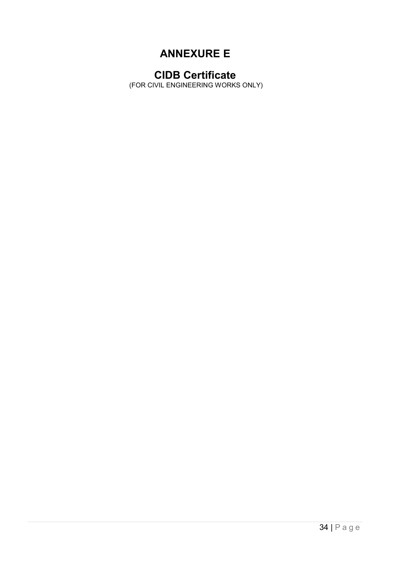# ANNEXURE E

# CIDB Certificate

(FOR CIVIL ENGINEERING WORKS ONLY)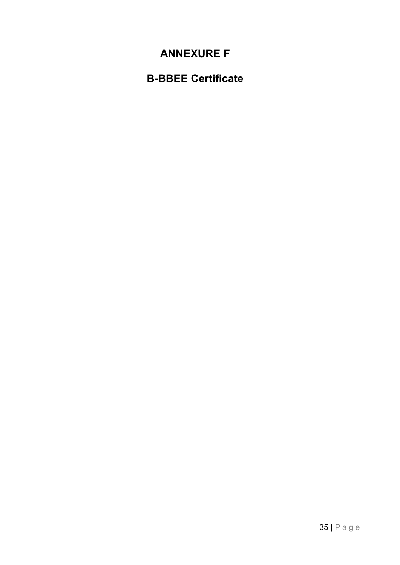# **ANNEXURE F**

# **B-BBEE Certificate**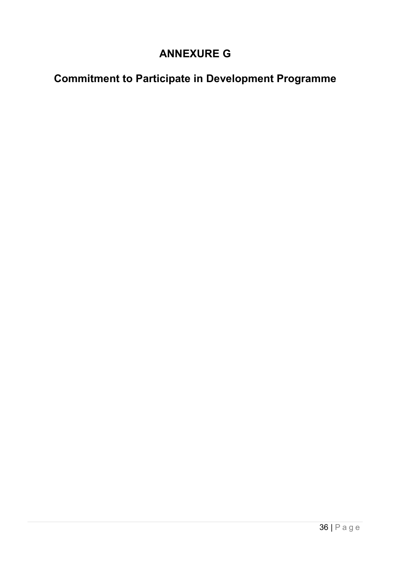# **ANNEXURE G**

# **Commitment to Participate in Development Programme**